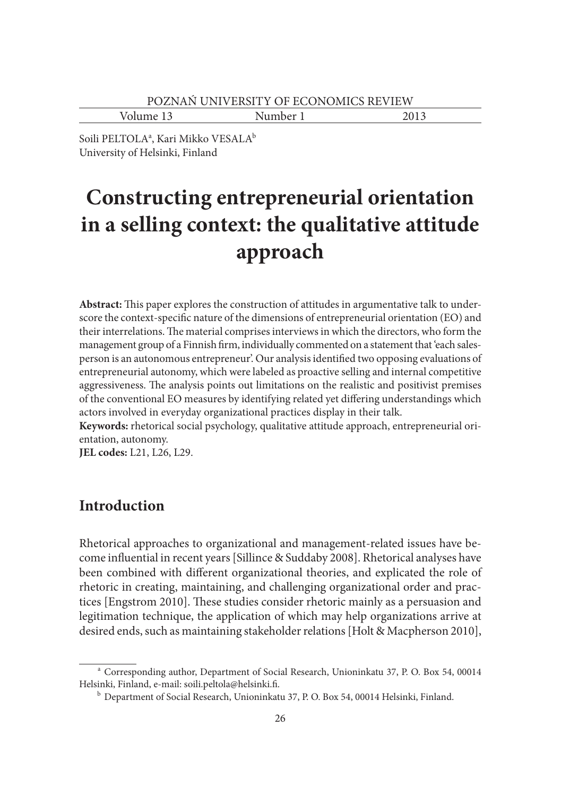Volume 13 Number 1 2013

Soili PELTOLAª, Kari Mikko VESALA<sup>b</sup> University of Helsinki, Finland

# **Constructing entrepreneurial orientation in a selling context: the qualitative attitude approach**

Abstract: This paper explores the construction of attitudes in argumentative talk to underscore the context-specific nature of the dimensions of entrepreneurial orientation (EO) and their interrelations. The material comprises interviews in which the directors, who form the management group of a Finnish firm, individually commented on a statement that 'each salesperson is an autonomous entrepreneur'. Our analysis identified two opposing evaluations of entrepreneurial autonomy, which were labeled as proactive selling and internal competitive aggressiveness. The analysis points out limitations on the realistic and positivist premises of the conventional EO measures by identifying related yet differing understandings which actors involved in everyday organizational practices display in their talk.

**Keywords:** rhetorical social psychology, qualitative attitude approach, entrepreneurial orientation, autonomy.

**JEL codes:** L21, L26, L29.

### **Introduction**

Rhetorical approaches to organizational and management-related issues have become influential in recent years [Sillince & Suddaby 2008]. Rhetorical analyses have been combined with different organizational theories, and explicated the role of rhetoric in creating, maintaining, and challenging organizational order and practices [Engstrom 2010]. These studies consider rhetoric mainly as a persuasion and legitimation technique, the application of which may help organizations arrive at desired ends, such as maintaining stakeholder relations [Holt & Macpherson 2010],

a Corresponding author, Department of Social Research, Unioninkatu 37, P. O. Box 54, 00014 Helsinki, Finland, e-mail: soili.peltola@helsinki.fi.<br><sup>b</sup> Department of Social Research, Unioninkatu 37, P. O. Box 54, 00014 Helsinki, Finland.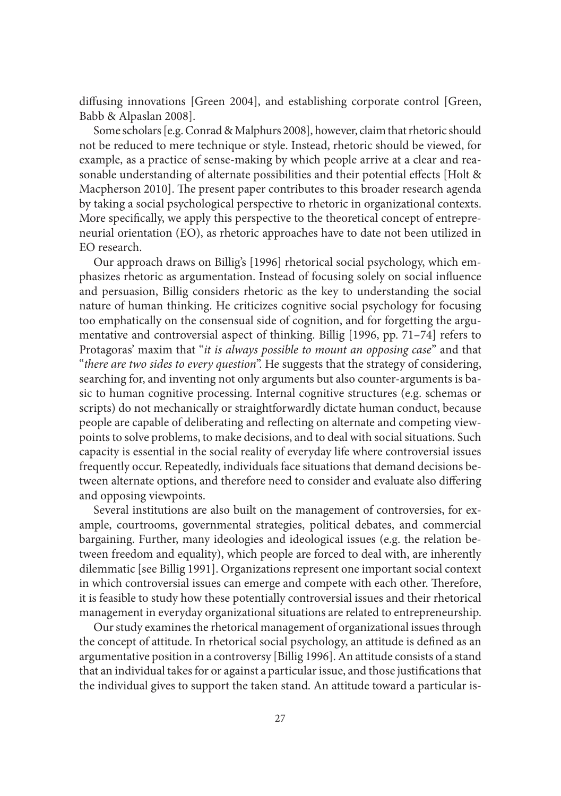diffusing innovations [Green 2004], and establishing corporate control [Green, Babb & Alpaslan 2008].

Some scholars [e.g. Conrad & Malphurs 2008], however, claim that rhetoric should not be reduced to mere technique or style. Instead, rhetoric should be viewed, for example, as a practice of sense-making by which people arrive at a clear and reasonable understanding of alternate possibilities and their potential effects [Holt & Macpherson 2010]. The present paper contributes to this broader research agenda by taking a social psychological perspective to rhetoric in organizational contexts. More specifically, we apply this perspective to the theoretical concept of entrepreneurial orientation (EO), as rhetoric approaches have to date not been utilized in EO research.

Our approach draws on Billig's [1996] rhetorical social psychology, which emphasizes rhetoric as argumentation. Instead of focusing solely on social influence and persuasion, Billig considers rhetoric as the key to understanding the social nature of human thinking. He criticizes cognitive social psychology for focusing too emphatically on the consensual side of cognition, and for forgetting the argumentative and controversial aspect of thinking. Billig [1996, pp. 71–74] refers to Protagoras' maxim that "*it is always possible to mount an opposing case*" and that "*there are two sides to every question*". He suggests that the strategy of considering, searching for, and inventing not only arguments but also counter-arguments is basic to human cognitive processing. Internal cognitive structures (e.g. schemas or scripts) do not mechanically or straightforwardly dictate human conduct, because people are capable of deliberating and reflecting on alternate and competing viewpoints to solve problems, to make decisions, and to deal with social situations. Such capacity is essential in the social reality of everyday life where controversial issues frequently occur. Repeatedly, individuals face situations that demand decisions between alternate options, and therefore need to consider and evaluate also differing and opposing viewpoints.

Several institutions are also built on the management of controversies, for example, courtrooms, governmental strategies, political debates, and commercial bargaining. Further, many ideologies and ideological issues (e.g. the relation between freedom and equality), which people are forced to deal with, are inherently dilemmatic [see Billig 1991]. Organizations represent one important social context in which controversial issues can emerge and compete with each other. Therefore, it is feasible to study how these potentially controversial issues and their rhetorical management in everyday organizational situations are related to entrepreneurship.

Our study examines the rhetorical management of organizational issues through the concept of attitude. In rhetorical social psychology, an attitude is defined as an argumentative position in a controversy [Billig 1996]. An attitude consists of a stand that an individual takes for or against a particular issue, and those justifications that the individual gives to support the taken stand. An attitude toward a particular is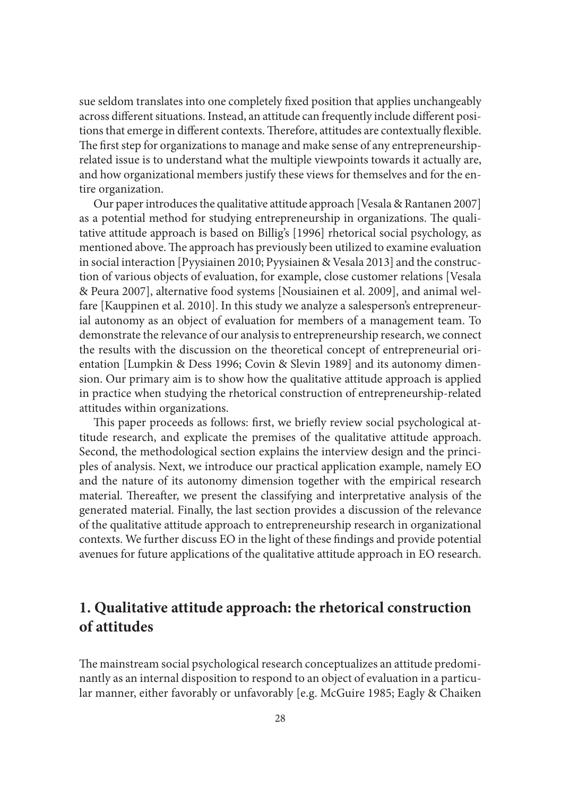sue seldom translates into one completely fixed position that applies unchangeably across different situations. Instead, an attitude can frequently include different positions that emerge in different contexts. Therefore, attitudes are contextually flexible. The first step for organizations to manage and make sense of any entrepreneurshiprelated issue is to understand what the multiple viewpoints towards it actually are, and how organizational members justify these views for themselves and for the entire organization.

Our paper introduces the qualitative attitude approach [Vesala & Rantanen 2007] as a potential method for studying entrepreneurship in organizations. The qualitative attitude approach is based on Billig's [1996] rhetorical social psychology, as mentioned above. The approach has previously been utilized to examine evaluation in social interaction [Pyysiainen 2010; Pyysiainen & Vesala 2013] and the construction of various objects of evaluation, for example, close customer relations [Vesala & Peura 2007], alternative food systems [Nousiainen et al. 2009], and animal welfare [Kauppinen et al. 2010]. In this study we analyze a salesperson's entrepreneurial autonomy as an object of evaluation for members of a management team. To demonstrate the relevance of our analysis to entrepreneurship research, we connect the results with the discussion on the theoretical concept of entrepreneurial orientation [Lumpkin & Dess 1996; Covin & Slevin 1989] and its autonomy dimension. Our primary aim is to show how the qualitative attitude approach is applied in practice when studying the rhetorical construction of entrepreneurship-related attitudes within organizations.

This paper proceeds as follows: first, we briefly review social psychological attitude research, and explicate the premises of the qualitative attitude approach. Second, the methodological section explains the interview design and the principles of analysis. Next, we introduce our practical application example, namely EO and the nature of its autonomy dimension together with the empirical research material. Thereafter, we present the classifying and interpretative analysis of the generated material. Finally, the last section provides a discussion of the relevance of the qualitative attitude approach to entrepreneurship research in organizational contexts. We further discuss EO in the light of these findings and provide potential avenues for future applications of the qualitative attitude approach in EO research.

# **1. Qualitative attitude approach: the rhetorical construction of attitudes**

The mainstream social psychological research conceptualizes an attitude predominantly as an internal disposition to respond to an object of evaluation in a particular manner, either favorably or unfavorably [e.g. McGuire 1985; Eagly & Chaiken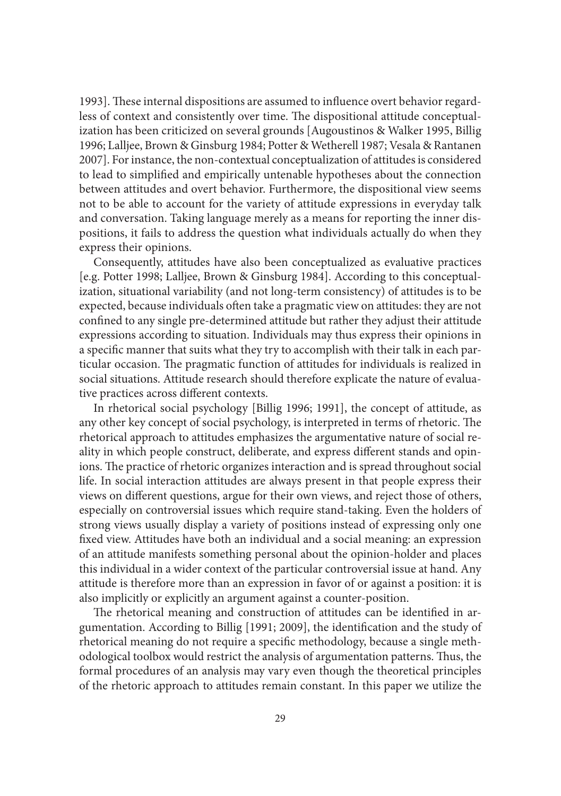1993]. These internal dispositions are assumed to influence overt behavior regardless of context and consistently over time. The dispositional attitude conceptualization has been criticized on several grounds [Augoustinos & Walker 1995, Billig 1996; Lalljee, Brown & Ginsburg 1984; Potter & Wetherell 1987; Vesala & Rantanen 2007]. For instance, the non-contextual conceptualization of attitudes is considered to lead to simplified and empirically untenable hypotheses about the connection between attitudes and overt behavior. Furthermore, the dispositional view seems not to be able to account for the variety of attitude expressions in everyday talk and conversation. Taking language merely as a means for reporting the inner dispositions, it fails to address the question what individuals actually do when they express their opinions.

Consequently, attitudes have also been conceptualized as evaluative practices [e.g. Potter 1998; Lalljee, Brown & Ginsburg 1984]. According to this conceptualization, situational variability (and not long-term consistency) of attitudes is to be expected, because individuals often take a pragmatic view on attitudes: they are not confined to any single pre-determined attitude but rather they adjust their attitude expressions according to situation. Individuals may thus express their opinions in a specific manner that suits what they try to accomplish with their talk in each particular occasion. The pragmatic function of attitudes for individuals is realized in social situations. Attitude research should therefore explicate the nature of evaluative practices across different contexts.

In rhetorical social psychology [Billig 1996; 1991], the concept of attitude, as any other key concept of social psychology, is interpreted in terms of rhetoric. The rhetorical approach to attitudes emphasizes the argumentative nature of social reality in which people construct, deliberate, and express different stands and opinions. The practice of rhetoric organizes interaction and is spread throughout social life. In social interaction attitudes are always present in that people express their views on different questions, argue for their own views, and reject those of others, especially on controversial issues which require stand-taking. Even the holders of strong views usually display a variety of positions instead of expressing only one fixed view. Attitudes have both an individual and a social meaning: an expression of an attitude manifests something personal about the opinion-holder and places this individual in a wider context of the particular controversial issue at hand. Any attitude is therefore more than an expression in favor of or against a position: it is also implicitly or explicitly an argument against a counter-position.

The rhetorical meaning and construction of attitudes can be identified in argumentation. According to Billig [1991; 2009], the identification and the study of rhetorical meaning do not require a specific methodology, because a single methodological toolbox would restrict the analysis of argumentation patterns. Thus, the formal procedures of an analysis may vary even though the theoretical principles of the rhetoric approach to attitudes remain constant. In this paper we utilize the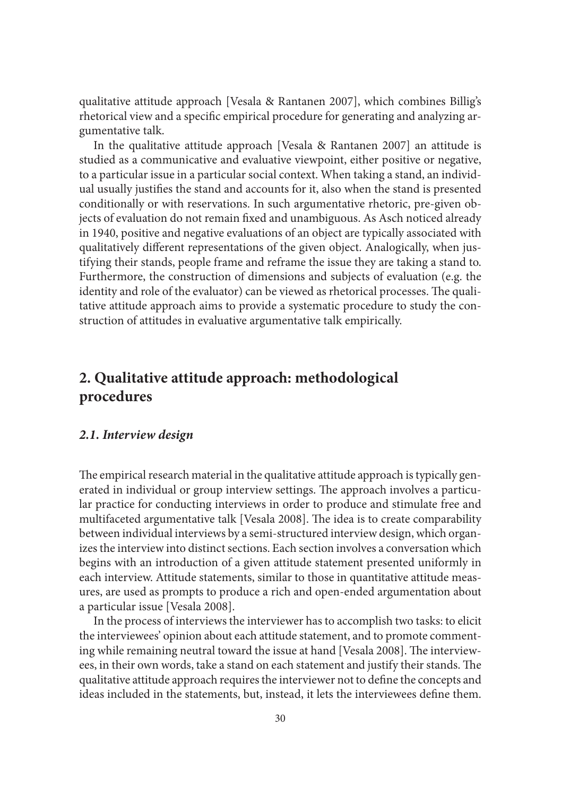qualitative attitude approach [Vesala & Rantanen 2007], which combines Billig's rhetorical view and a specific empirical procedure for generating and analyzing argumentative talk.

In the qualitative attitude approach [Vesala & Rantanen 2007] an attitude is studied as a communicative and evaluative viewpoint, either positive or negative, to a particular issue in a particular social context. When taking a stand, an individual usually justifies the stand and accounts for it, also when the stand is presented conditionally or with reservations. In such argumentative rhetoric, pre-given objects of evaluation do not remain fixed and unambiguous. As Asch noticed already in 1940, positive and negative evaluations of an object are typically associated with qualitatively different representations of the given object. Analogically, when justifying their stands, people frame and reframe the issue they are taking a stand to. Furthermore, the construction of dimensions and subjects of evaluation (e.g. the identity and role of the evaluator) can be viewed as rhetorical processes. The qualitative attitude approach aims to provide a systematic procedure to study the construction of attitudes in evaluative argumentative talk empirically.

# **2. Qualitative attitude approach: methodological procedures**

#### *2.1. Interview design*

The empirical research material in the qualitative attitude approach is typically generated in individual or group interview settings. The approach involves a particular practice for conducting interviews in order to produce and stimulate free and multifaceted argumentative talk [Vesala 2008]. The idea is to create comparability between individual interviews by a semi-structured interview design, which organizes the interview into distinct sections. Each section involves a conversation which begins with an introduction of a given attitude statement presented uniformly in each interview. Attitude statements, similar to those in quantitative attitude measures, are used as prompts to produce a rich and open-ended argumentation about a particular issue [Vesala 2008].

In the process of interviews the interviewer has to accomplish two tasks: to elicit the interviewees' opinion about each attitude statement, and to promote commenting while remaining neutral toward the issue at hand [Vesala 2008]. The interviewees, in their own words, take a stand on each statement and justify their stands. The qualitative attitude approach requires the interviewer not to define the concepts and ideas included in the statements, but, instead, it lets the interviewees define them.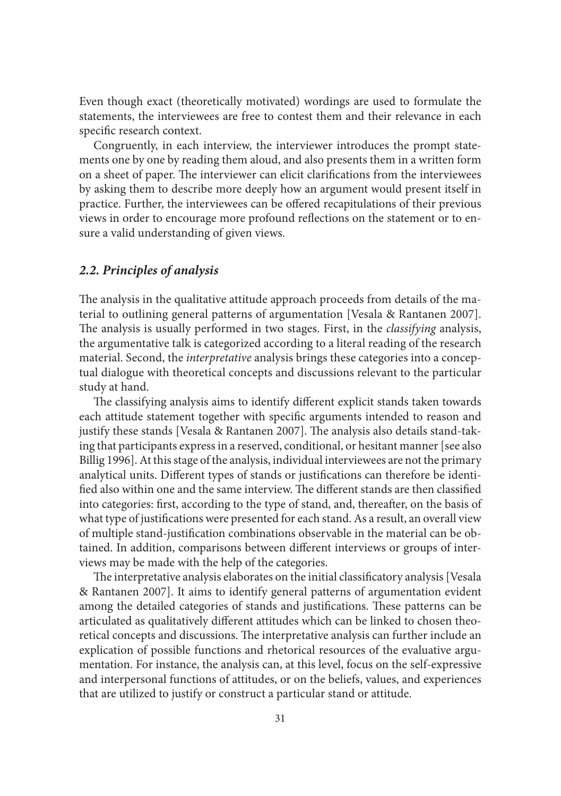Even though exact (theoretically motivated) wordings are used to formulate the statements, the interviewees are free to contest them and their relevance in each specific research context.

Congruently, in each interview, the interviewer introduces the prompt statements one by one by reading them aloud, and also presents them in a written form on a sheet of paper. The interviewer can elicit clarifications from the interviewees by asking them to describe more deeply how an argument would present itself in practice. Further, the interviewees can be offered recapitulations of their previous views in order to encourage more profound reflections on the statement or to ensure a valid understanding of given views.

#### *2.2. Principles of analysis*

The analysis in the qualitative attitude approach proceeds from details of the material to outlining general patterns of argumentation [Vesala & Rantanen 2007]. The analysis is usually performed in two stages. First, in the *classifying* analysis, the argumentative talk is categorized according to a literal reading of the research material. Second, the *interpretative* analysis brings these categories into a conceptual dialogue with theoretical concepts and discussions relevant to the particular study at hand.

The classifying analysis aims to identify different explicit stands taken towards each attitude statement together with specific arguments intended to reason and justify these stands [Vesala & Rantanen 2007]. The analysis also details stand-taking that participants express in a reserved, conditional, or hesitant manner [see also Billig 1996]. At this stage of the analysis, individual interviewees are not the primary analytical units. Different types of stands or justifications can therefore be identified also within one and the same interview. The different stands are then classified into categories: first, according to the type of stand, and, thereafter, on the basis of what type of justifications were presented for each stand. As a result, an overall view of multiple stand-justification combinations observable in the material can be obtained. In addition, comparisons between different interviews or groups of interviews may be made with the help of the categories.

The interpretative analysis elaborates on the initial classificatory analysis [Vesala & Rantanen 2007]. It aims to identify general patterns of argumentation evident among the detailed categories of stands and justifications. These patterns can be articulated as qualitatively different attitudes which can be linked to chosen theoretical concepts and discussions. The interpretative analysis can further include an explication of possible functions and rhetorical resources of the evaluative argumentation. For instance, the analysis can, at this level, focus on the self-expressive and interpersonal functions of attitudes, or on the beliefs, values, and experiences that are utilized to justify or construct a particular stand or attitude.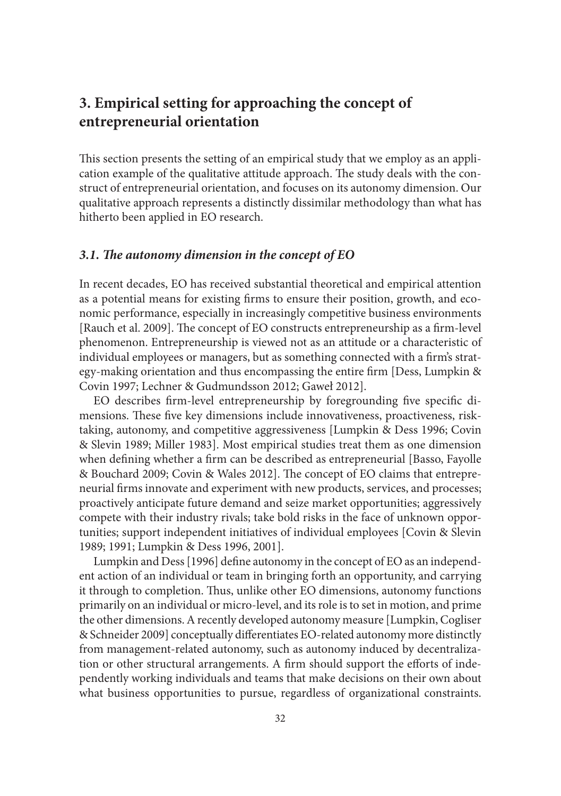# **3. Empirical setting for approaching the concept of entrepreneurial orientation**

This section presents the setting of an empirical study that we employ as an application example of the qualitative attitude approach. The study deals with the construct of entrepreneurial orientation, and focuses on its autonomy dimension. Our qualitative approach represents a distinctly dissimilar methodology than what has hitherto been applied in EO research.

#### 3.1. The autonomy dimension in the concept of EO

In recent decades, EO has received substantial theoretical and empirical attention as a potential means for existing firms to ensure their position, growth, and economic performance, especially in increasingly competitive business environments [Rauch et al. 2009]. The concept of EO constructs entrepreneurship as a firm-level phenomenon. Entrepreneurship is viewed not as an attitude or a characteristic of individual employees or managers, but as something connected with a firm's strategy-making orientation and thus encompassing the entire firm [Dess, Lumpkin  $\&$ Covin 1997; Lechner & Gudmundsson 2012; Gaweł 2012].

EO describes firm-level entrepreneurship by foregrounding five specific dimensions. These five key dimensions include innovativeness, proactiveness, risktaking, autonomy, and competitive aggressiveness [Lumpkin & Dess 1996; Covin & Slevin 1989; Miller 1983]. Most empirical studies treat them as one dimension when defining whether a firm can be described as entrepreneurial [Basso, Fayolle & Bouchard 2009; Covin & Wales 2012]. The concept of EO claims that entrepreneurial firms innovate and experiment with new products, services, and processes; proactively anticipate future demand and seize market opportunities; aggressively compete with their industry rivals; take bold risks in the face of unknown opportunities; support independent initiatives of individual employees [Covin & Slevin 1989; 1991; Lumpkin & Dess 1996, 2001].

Lumpkin and Dess [1996] define autonomy in the concept of EO as an independent action of an individual or team in bringing forth an opportunity, and carrying it through to completion. Thus, unlike other EO dimensions, autonomy functions primarily on an individual or micro-level, and its role is to set in motion, and prime the other dimensions. A recently developed autonomy measure [Lumpkin, Cogliser & Schneider 2009] conceptually differentiates EO-related autonomy more distinctly from management-related autonomy, such as autonomy induced by decentralization or other structural arrangements. A firm should support the efforts of independently working individuals and teams that make decisions on their own about what business opportunities to pursue, regardless of organizational constraints.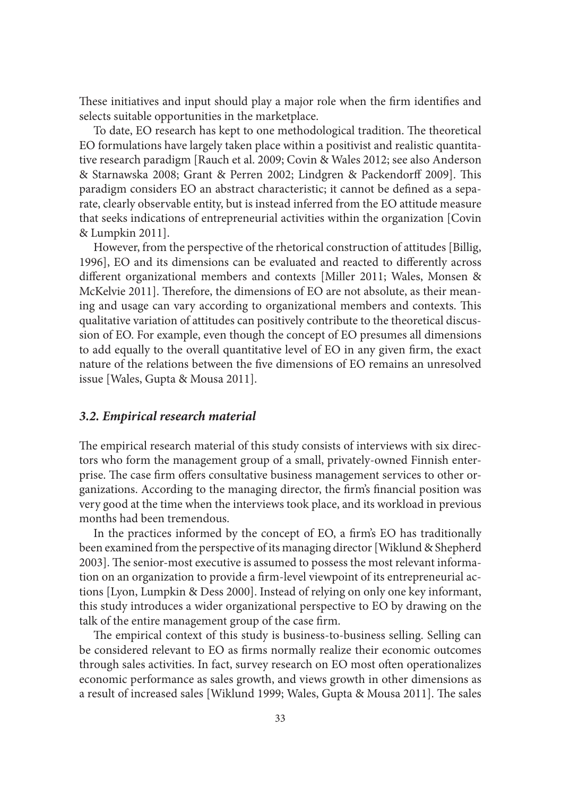These initiatives and input should play a major role when the firm identifies and selects suitable opportunities in the marketplace.

To date, EO research has kept to one methodological tradition. The theoretical EO formulations have largely taken place within a positivist and realistic quantitative research paradigm [Rauch et al. 2009; Covin & Wales 2012; see also Anderson & Starnawska 2008; Grant & Perren 2002; Lindgren & Packendorff 2009]. This paradigm considers EO an abstract characteristic; it cannot be defined as a separate, clearly observable entity, but is instead inferred from the EO attitude measure that seeks indications of entrepreneurial activities within the organization [Covin & Lumpkin 2011].

However, from the perspective of the rhetorical construction of attitudes [Billig, 1996], EO and its dimensions can be evaluated and reacted to differently across different organizational members and contexts [Miller 2011; Wales, Monsen & McKelvie 2011]. Therefore, the dimensions of EO are not absolute, as their meaning and usage can vary according to organizational members and contexts. This qualitative variation of attitudes can positively contribute to the theoretical discussion of EO. For example, even though the concept of EO presumes all dimensions to add equally to the overall quantitative level of EO in any given firm, the exact nature of the relations between the five dimensions of EO remains an unresolved issue [Wales, Gupta & Mousa 2011].

#### *3.2. Empirical research material*

The empirical research material of this study consists of interviews with six directors who form the management group of a small, privately-owned Finnish enterprise. The case firm offers consultative business management services to other organizations. According to the managing director, the firm's financial position was very good at the time when the interviews took place, and its workload in previous months had been tremendous.

In the practices informed by the concept of EO, a firm's EO has traditionally been examined from the perspective of its managing director [Wiklund & Shepherd 2003]. The senior-most executive is assumed to possess the most relevant information on an organization to provide a firm-level viewpoint of its entrepreneurial actions [Lyon, Lumpkin & Dess 2000]. Instead of relying on only one key informant, this study introduces a wider organizational perspective to EO by drawing on the talk of the entire management group of the case firm.

The empirical context of this study is business-to-business selling. Selling can be considered relevant to EO as firms normally realize their economic outcomes through sales activities. In fact, survey research on EO most often operationalizes economic performance as sales growth, and views growth in other dimensions as a result of increased sales [Wiklund 1999; Wales, Gupta & Mousa 2011]. The sales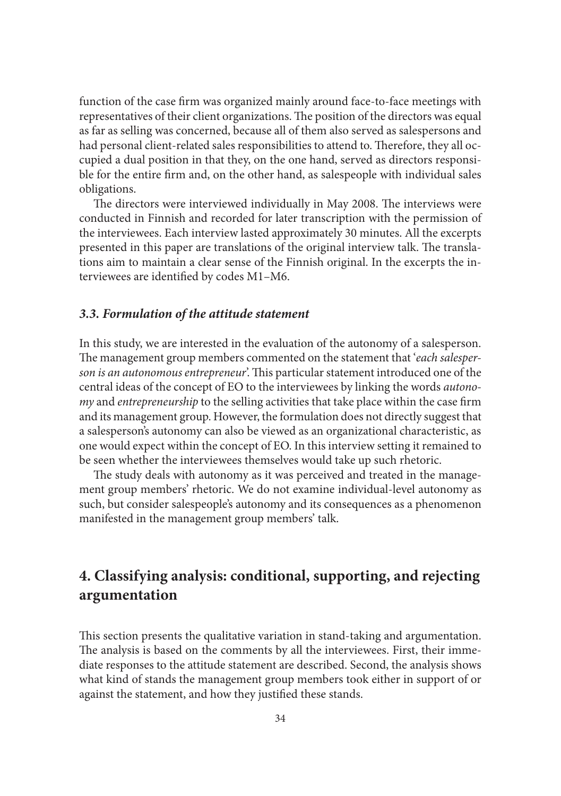function of the case firm was organized mainly around face-to-face meetings with representatives of their client organizations. The position of the directors was equal as far as selling was concerned, because all of them also served as salespersons and had personal client-related sales responsibilities to attend to. Therefore, they all occupied a dual position in that they, on the one hand, served as directors responsible for the entire firm and, on the other hand, as salespeople with individual sales obligations.

The directors were interviewed individually in May 2008. The interviews were conducted in Finnish and recorded for later transcription with the permission of the interviewees. Each interview lasted approximately 30 minutes. All the excerpts presented in this paper are translations of the original interview talk. The translations aim to maintain a clear sense of the Finnish original. In the excerpts the interviewees are identified by codes M1-M6.

#### *3.3. Formulation of the attitude statement*

In this study, we are interested in the evaluation of the autonomy of a salesperson. The management group members commented on the statement that 'each salesper*son is an autonomous entrepreneur*'. This particular statement introduced one of the central ideas of the concept of EO to the interviewees by linking the words *autonomy* and *entrepreneurship* to the selling activities that take place within the case firm and its management group. However, the formulation does not directly suggest that a salesperson's autonomy can also be viewed as an organizational characteristic, as one would expect within the concept of EO. In this interview setting it remained to be seen whether the interviewees themselves would take up such rhetoric.

The study deals with autonomy as it was perceived and treated in the management group members' rhetoric. We do not examine individual-level autonomy as such, but consider salespeople's autonomy and its consequences as a phenomenon manifested in the management group members' talk.

# **4. Classifying analysis: conditional, supporting, and rejecting argumentation**

This section presents the qualitative variation in stand-taking and argumentation. The analysis is based on the comments by all the interviewees. First, their immediate responses to the attitude statement are described. Second, the analysis shows what kind of stands the management group members took either in support of or against the statement, and how they justified these stands.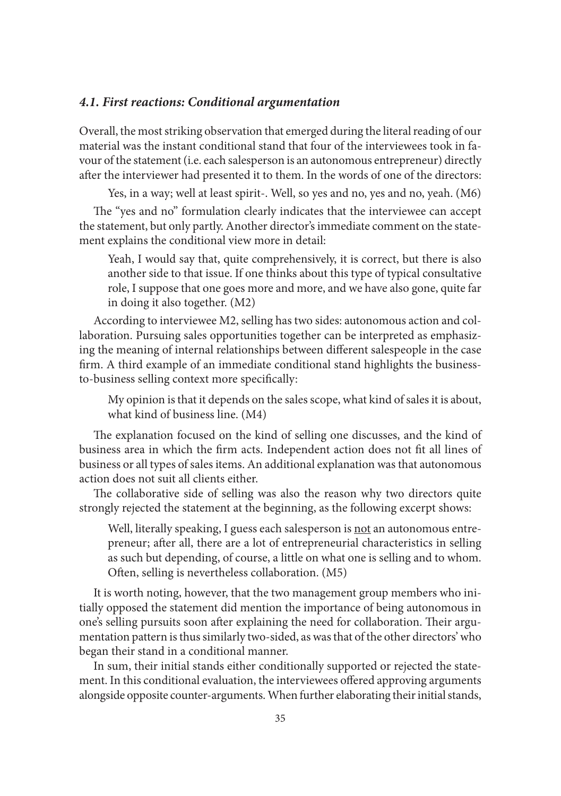#### *4.1. First reactions: Conditional argumentation*

Overall, the most striking observation that emerged during the literal reading of our material was the instant conditional stand that four of the interviewees took in favour of the statement (i.e. each salesperson is an autonomous entrepreneur) directly after the interviewer had presented it to them. In the words of one of the directors:

Yes, in a way; well at least spirit-. Well, so yes and no, yes and no, yeah. (M6)

The "yes and no" formulation clearly indicates that the interviewee can accept the statement, but only partly. Another director's immediate comment on the statement explains the conditional view more in detail:

Yeah, I would say that, quite comprehensively, it is correct, but there is also another side to that issue. If one thinks about this type of typical consultative role, I suppose that one goes more and more, and we have also gone, quite far in doing it also together. (M2)

According to interviewee M2, selling has two sides: autonomous action and collaboration. Pursuing sales opportunities together can be interpreted as emphasizing the meaning of internal relationships between different salespeople in the case firm. A third example of an immediate conditional stand highlights the businessto-business selling context more specifically:

My opinion is that it depends on the sales scope, what kind of sales it is about, what kind of business line. (M4)

The explanation focused on the kind of selling one discusses, and the kind of business area in which the firm acts. Independent action does not fit all lines of business or all types of sales items. An additional explanation was that autonomous action does not suit all clients either.

The collaborative side of selling was also the reason why two directors quite strongly rejected the statement at the beginning, as the following excerpt shows:

Well, literally speaking, I guess each salesperson is not an autonomous entrepreneur; after all, there are a lot of entrepreneurial characteristics in selling as such but depending, of course, a little on what one is selling and to whom. Often, selling is nevertheless collaboration. (M5)

It is worth noting, however, that the two management group members who initially opposed the statement did mention the importance of being autonomous in one's selling pursuits soon after explaining the need for collaboration. Their argumentation pattern is thus similarly two-sided, as was that of the other directors' who began their stand in a conditional manner.

In sum, their initial stands either conditionally supported or rejected the statement. In this conditional evaluation, the interviewees offered approving arguments alongside opposite counter-arguments. When further elaborating their initial stands,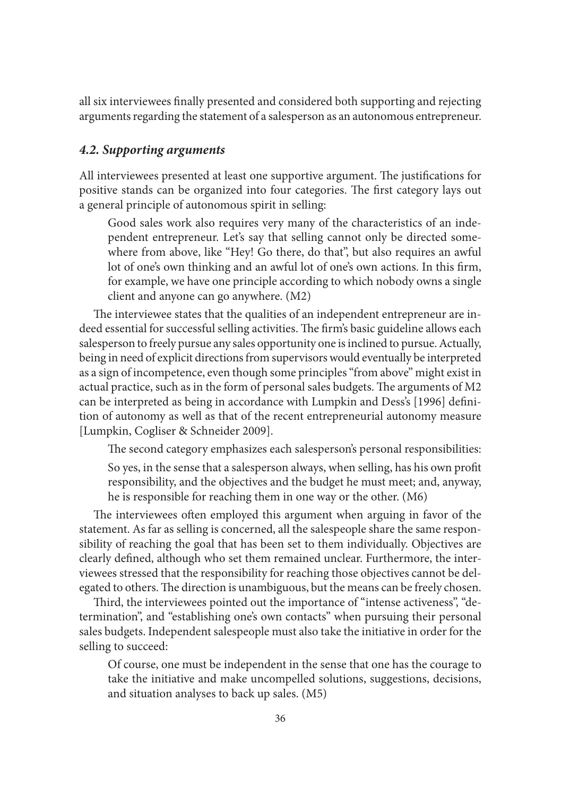all six interviewees finally presented and considered both supporting and rejecting arguments regarding the statement of a salesperson as an autonomous entrepreneur.

#### *4.2. Supporting arguments*

All interviewees presented at least one supportive argument. The justifications for positive stands can be organized into four categories. The first category lays out a general principle of autonomous spirit in selling:

Good sales work also requires very many of the characteristics of an independent entrepreneur. Let's say that selling cannot only be directed somewhere from above, like "Hey! Go there, do that", but also requires an awful lot of one's own thinking and an awful lot of one's own actions. In this firm, for example, we have one principle according to which nobody owns a single client and anyone can go anywhere. (M2)

The interviewee states that the qualities of an independent entrepreneur are indeed essential for successful selling activities. The firm's basic guideline allows each salesperson to freely pursue any sales opportunity one is inclined to pursue. Actually, being in need of explicit directions from supervisors would eventually be interpreted as a sign of incompetence, even though some principles "from above" might exist in actual practice, such as in the form of personal sales budgets. The arguments of M2 can be interpreted as being in accordance with Lumpkin and Dess's [1996] definition of autonomy as well as that of the recent entrepreneurial autonomy measure [Lumpkin, Cogliser & Schneider 2009].

The second category emphasizes each salesperson's personal responsibilities: So yes, in the sense that a salesperson always, when selling, has his own profit responsibility, and the objectives and the budget he must meet; and, anyway, he is responsible for reaching them in one way or the other. (M6)

The interviewees often employed this argument when arguing in favor of the statement. As far as selling is concerned, all the salespeople share the same responsibility of reaching the goal that has been set to them individually. Objectives are clearly defined, although who set them remained unclear. Furthermore, the interviewees stressed that the responsibility for reaching those objectives cannot be delegated to others. The direction is unambiguous, but the means can be freely chosen.

Third, the interviewees pointed out the importance of "intense activeness", "determination", and "establishing one's own contacts" when pursuing their personal sales budgets. Independent salespeople must also take the initiative in order for the selling to succeed:

Of course, one must be independent in the sense that one has the courage to take the initiative and make uncompelled solutions, suggestions, decisions, and situation analyses to back up sales. (M5)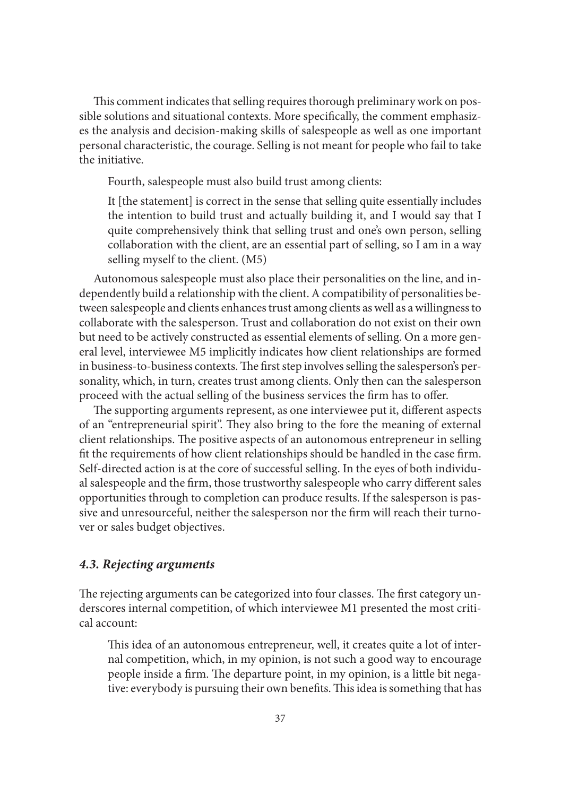This comment indicates that selling requires thorough preliminary work on possible solutions and situational contexts. More specifically, the comment emphasizes the analysis and decision-making skills of salespeople as well as one important personal characteristic, the courage. Selling is not meant for people who fail to take the initiative.

Fourth, salespeople must also build trust among clients:

It [the statement] is correct in the sense that selling quite essentially includes the intention to build trust and actually building it, and I would say that I quite comprehensively think that selling trust and one's own person, selling collaboration with the client, are an essential part of selling, so I am in a way selling myself to the client. (M5)

Autonomous salespeople must also place their personalities on the line, and independently build a relationship with the client. A compatibility of personalities between salespeople and clients enhances trust among clients as well as a willingness to collaborate with the salesperson. Trust and collaboration do not exist on their own but need to be actively constructed as essential elements of selling. On a more general level, interviewee M5 implicitly indicates how client relationships are formed in business-to-business contexts. The first step involves selling the salesperson's personality, which, in turn, creates trust among clients. Only then can the salesperson proceed with the actual selling of the business services the firm has to offer.

The supporting arguments represent, as one interviewee put it, different aspects of an "entrepreneurial spirit". They also bring to the fore the meaning of external client relationships. The positive aspects of an autonomous entrepreneur in selling fit the requirements of how client relationships should be handled in the case firm. Self-directed action is at the core of successful selling. In the eyes of both individual salespeople and the firm, those trustworthy salespeople who carry different sales opportunities through to completion can produce results. If the salesperson is passive and unresourceful, neither the salesperson nor the firm will reach their turnover or sales budget objectives.

### *4.3. Rejecting arguments*

The rejecting arguments can be categorized into four classes. The first category underscores internal competition, of which interviewee M1 presented the most critical account:

This idea of an autonomous entrepreneur, well, it creates quite a lot of internal competition, which, in my opinion, is not such a good way to encourage people inside a firm. The departure point, in my opinion, is a little bit negative: everybody is pursuing their own benefits. This idea is something that has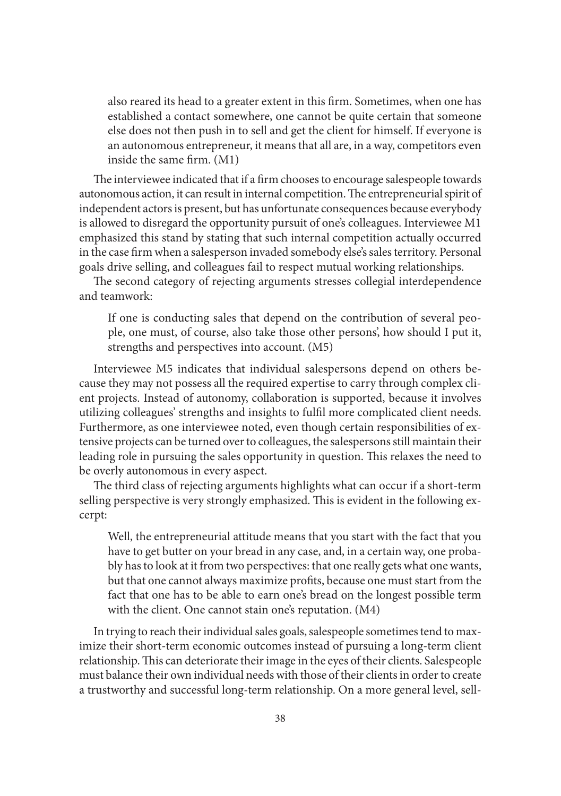also reared its head to a greater extent in this firm. Sometimes, when one has established a contact somewhere, one cannot be quite certain that someone else does not then push in to sell and get the client for himself. If everyone is an autonomous entrepreneur, it means that all are, in a way, competitors even inside the same firm. (M1)

The interviewee indicated that if a firm chooses to encourage salespeople towards autonomous action, it can result in internal competition. The entrepreneurial spirit of independent actors is present, but has unfortunate consequences because everybody is allowed to disregard the opportunity pursuit of one's colleagues. Interviewee M1 emphasized this stand by stating that such internal competition actually occurred in the case firm when a salesperson invaded somebody else's sales territory. Personal goals drive selling, and colleagues fail to respect mutual working relationships.

The second category of rejecting arguments stresses collegial interdependence and teamwork:

If one is conducting sales that depend on the contribution of several people, one must, of course, also take those other persons', how should I put it, strengths and perspectives into account. (M5)

Interviewee M5 indicates that individual salespersons depend on others because they may not possess all the required expertise to carry through complex client projects. Instead of autonomy, collaboration is supported, because it involves utilizing colleagues' strengths and insights to fulfi l more complicated client needs. Furthermore, as one interviewee noted, even though certain responsibilities of extensive projects can be turned over to colleagues, the salespersons still maintain their leading role in pursuing the sales opportunity in question. This relaxes the need to be overly autonomous in every aspect.

The third class of rejecting arguments highlights what can occur if a short-term selling perspective is very strongly emphasized. This is evident in the following excerpt:

Well, the entrepreneurial attitude means that you start with the fact that you have to get butter on your bread in any case, and, in a certain way, one probably has to look at it from two perspectives: that one really gets what one wants, but that one cannot always maximize profits, because one must start from the fact that one has to be able to earn one's bread on the longest possible term with the client. One cannot stain one's reputation. (M4)

In trying to reach their individual sales goals, salespeople sometimes tend to maximize their short-term economic outcomes instead of pursuing a long-term client relationship. This can deteriorate their image in the eyes of their clients. Salespeople must balance their own individual needs with those of their clients in order to create a trustworthy and successful long-term relationship. On a more general level, sell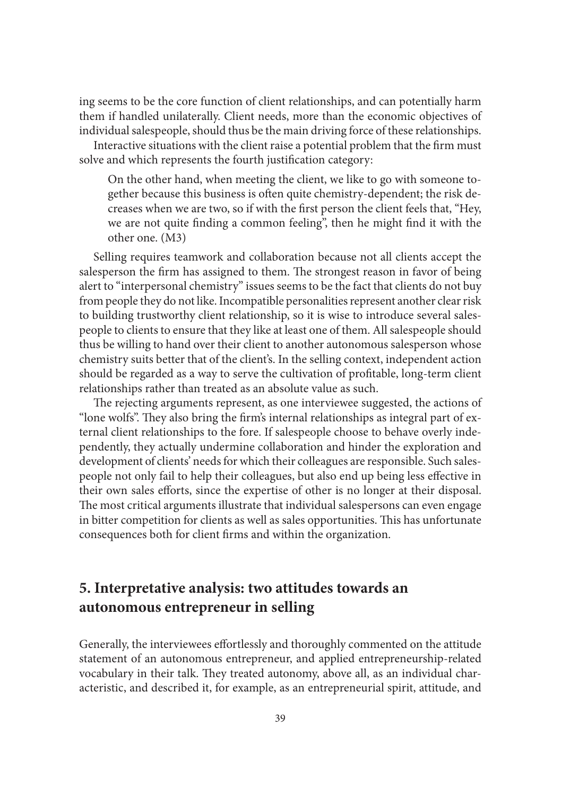ing seems to be the core function of client relationships, and can potentially harm them if handled unilaterally. Client needs, more than the economic objectives of individual salespeople, should thus be the main driving force of these relationships. Interactive situations with the client raise a potential problem that the firm must

solve and which represents the fourth justification category: On the other hand, when meeting the client, we like to go with someone to-

gether because this business is often quite chemistry-dependent; the risk decreases when we are two, so if with the first person the client feels that, "Hey, we are not quite finding a common feeling", then he might find it with the other one. (M3)

Selling requires teamwork and collaboration because not all clients accept the salesperson the firm has assigned to them. The strongest reason in favor of being alert to "interpersonal chemistry" issues seems to be the fact that clients do not buy from people they do not like. Incompatible personalities represent another clear risk to building trustworthy client relationship, so it is wise to introduce several salespeople to clients to ensure that they like at least one of them. All salespeople should thus be willing to hand over their client to another autonomous salesperson whose chemistry suits better that of the client's. In the selling context, independent action should be regarded as a way to serve the cultivation of profitable, long-term client relationships rather than treated as an absolute value as such.

The rejecting arguments represent, as one interviewee suggested, the actions of "lone wolfs". They also bring the firm's internal relationships as integral part of external client relationships to the fore. If salespeople choose to behave overly independently, they actually undermine collaboration and hinder the exploration and development of clients' needs for which their colleagues are responsible. Such salespeople not only fail to help their colleagues, but also end up being less effective in their own sales efforts, since the expertise of other is no longer at their disposal. The most critical arguments illustrate that individual salespersons can even engage in bitter competition for clients as well as sales opportunities. This has unfortunate consequences both for client firms and within the organization.

# **5. Interpretative analysis: two attitudes towards an autonomous entrepreneur in selling**

Generally, the interviewees effortlessly and thoroughly commented on the attitude statement of an autonomous entrepreneur, and applied entrepreneurship-related vocabulary in their talk. They treated autonomy, above all, as an individual characteristic, and described it, for example, as an entrepreneurial spirit, attitude, and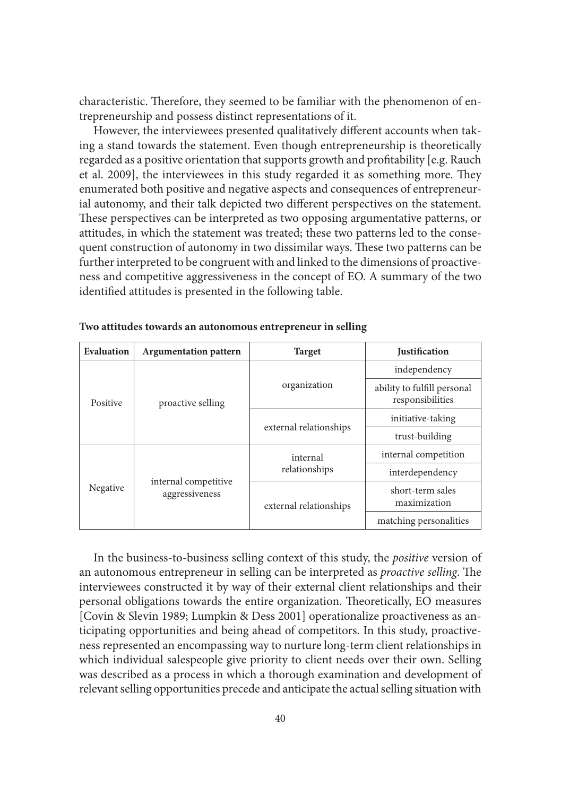characteristic. Therefore, they seemed to be familiar with the phenomenon of entrepreneurship and possess distinct representations of it.

However, the interviewees presented qualitatively different accounts when taking a stand towards the statement. Even though entrepreneurship is theoretically regarded as a positive orientation that supports growth and profitability [e.g. Rauch et al. 2009], the interviewees in this study regarded it as something more. They enumerated both positive and negative aspects and consequences of entrepreneurial autonomy, and their talk depicted two different perspectives on the statement. These perspectives can be interpreted as two opposing argumentative patterns, or attitudes, in which the statement was treated; these two patterns led to the consequent construction of autonomy in two dissimilar ways. These two patterns can be further interpreted to be congruent with and linked to the dimensions of proactiveness and competitive aggressiveness in the concept of EO. A summary of the two identified attitudes is presented in the following table.

| Evaluation | <b>Argumentation pattern</b>           | <b>Target</b>             | <b>Justification</b>                            |
|------------|----------------------------------------|---------------------------|-------------------------------------------------|
| Positive   | proactive selling                      | organization              | independency                                    |
|            |                                        |                           | ability to fulfill personal<br>responsibilities |
|            |                                        | external relationships    | initiative-taking                               |
|            |                                        |                           | trust-building                                  |
| Negative   | internal competitive<br>aggressiveness | internal<br>relationships | internal competition                            |
|            |                                        |                           | interdependency                                 |
|            |                                        | external relationships    | short-term sales<br>maximization                |
|            |                                        |                           | matching personalities                          |

**Two attitudes towards an autonomous entrepreneur in selling**

In the business-to-business selling context of this study, the *positive* version of an autonomous entrepreneur in selling can be interpreted as *proactive selling*. The interviewees constructed it by way of their external client relationships and their personal obligations towards the entire organization. Theoretically, EO measures [Covin & Slevin 1989; Lumpkin & Dess 2001] operationalize proactiveness as anticipating opportunities and being ahead of competitors. In this study, proactiveness represented an encompassing way to nurture long-term client relationships in which individual salespeople give priority to client needs over their own. Selling was described as a process in which a thorough examination and development of relevant selling opportunities precede and anticipate the actual selling situation with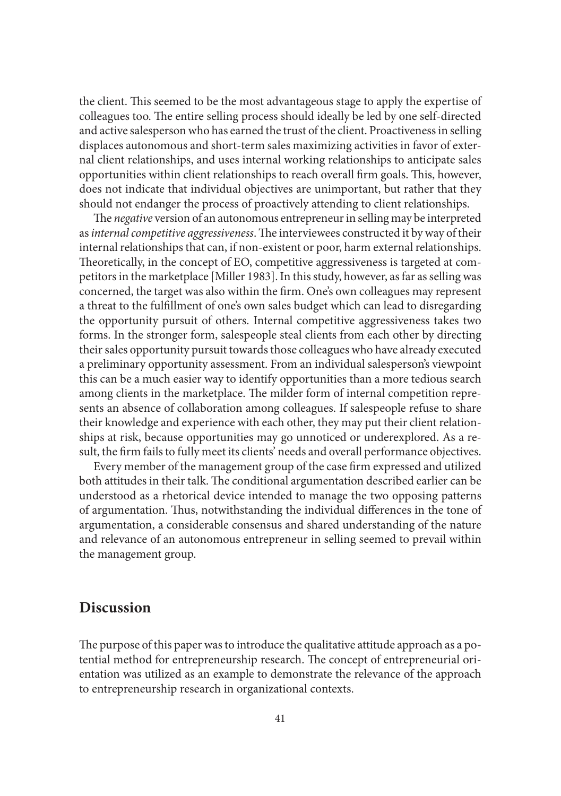the client. This seemed to be the most advantageous stage to apply the expertise of colleagues too. The entire selling process should ideally be led by one self-directed and active salesperson who has earned the trust of the client. Proactiveness in selling displaces autonomous and short-term sales maximizing activities in favor of external client relationships, and uses internal working relationships to anticipate sales opportunities within client relationships to reach overall firm goals. This, however, does not indicate that individual objectives are unimportant, but rather that they should not endanger the process of proactively attending to client relationships.

The *negative* version of an autonomous entrepreneur in selling may be interpreted as *internal competitive aggressiveness*. The interviewees constructed it by way of their internal relationships that can, if non-existent or poor, harm external relationships. Theoretically, in the concept of EO, competitive aggressiveness is targeted at competitors in the marketplace [Miller 1983]. In this study, however, as far as selling was concerned, the target was also within the firm. One's own colleagues may represent a threat to the fulfillment of one's own sales budget which can lead to disregarding the opportunity pursuit of others. Internal competitive aggressiveness takes two forms. In the stronger form, salespeople steal clients from each other by directing their sales opportunity pursuit towards those colleagues who have already executed a preliminary opportunity assessment. From an individual salesperson's viewpoint this can be a much easier way to identify opportunities than a more tedious search among clients in the marketplace. The milder form of internal competition represents an absence of collaboration among colleagues. If salespeople refuse to share their knowledge and experience with each other, they may put their client relationships at risk, because opportunities may go unnoticed or underexplored. As a result, the firm fails to fully meet its clients' needs and overall performance objectives.

Every member of the management group of the case firm expressed and utilized both attitudes in their talk. The conditional argumentation described earlier can be understood as a rhetorical device intended to manage the two opposing patterns of argumentation. Thus, notwithstanding the individual differences in the tone of argumentation, a considerable consensus and shared understanding of the nature and relevance of an autonomous entrepreneur in selling seemed to prevail within the management group.

### **Discussion**

The purpose of this paper was to introduce the qualitative attitude approach as a potential method for entrepreneurship research. The concept of entrepreneurial orientation was utilized as an example to demonstrate the relevance of the approach to entrepreneurship research in organizational contexts.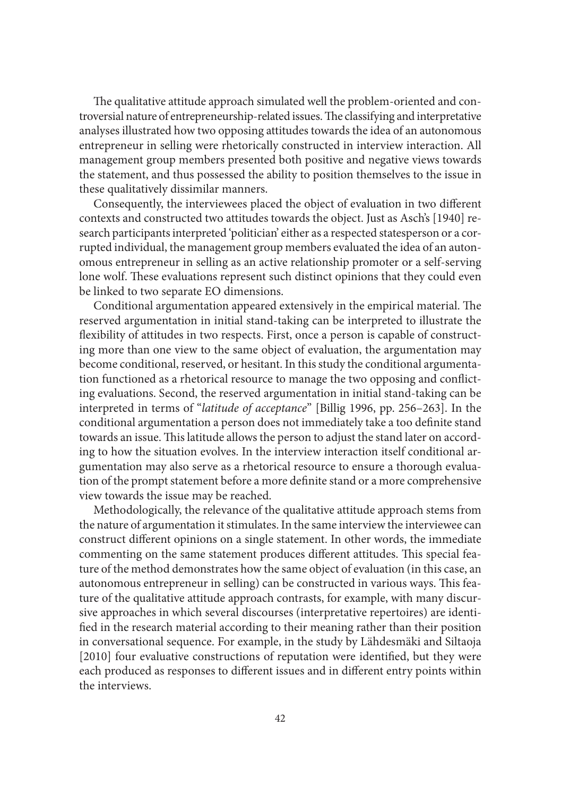The qualitative attitude approach simulated well the problem-oriented and controversial nature of entrepreneurship-related issues. The classifying and interpretative analyses illustrated how two opposing attitudes towards the idea of an autonomous entrepreneur in selling were rhetorically constructed in interview interaction. All management group members presented both positive and negative views towards the statement, and thus possessed the ability to position themselves to the issue in these qualitatively dissimilar manners.

Consequently, the interviewees placed the object of evaluation in two different contexts and constructed two attitudes towards the object. Just as Asch's [1940] research participants interpreted 'politician' either as a respected statesperson or a corrupted individual, the management group members evaluated the idea of an autonomous entrepreneur in selling as an active relationship promoter or a self-serving lone wolf. These evaluations represent such distinct opinions that they could even be linked to two separate EO dimensions.

Conditional argumentation appeared extensively in the empirical material. The reserved argumentation in initial stand-taking can be interpreted to illustrate the flexibility of attitudes in two respects. First, once a person is capable of constructing more than one view to the same object of evaluation, the argumentation may become conditional, reserved, or hesitant. In this study the conditional argumentation functioned as a rhetorical resource to manage the two opposing and conflicting evaluations. Second, the reserved argumentation in initial stand-taking can be interpreted in terms of "*latitude of acceptance*" [Billig 1996, pp. 256–263]. In the conditional argumentation a person does not immediately take a too definite stand towards an issue. This latitude allows the person to adjust the stand later on according to how the situation evolves. In the interview interaction itself conditional argumentation may also serve as a rhetorical resource to ensure a thorough evaluation of the prompt statement before a more definite stand or a more comprehensive view towards the issue may be reached.

Methodologically, the relevance of the qualitative attitude approach stems from the nature of argumentation it stimulates. In the same interview the interviewee can construct different opinions on a single statement. In other words, the immediate commenting on the same statement produces different attitudes. This special feature of the method demonstrates how the same object of evaluation (in this case, an autonomous entrepreneur in selling) can be constructed in various ways. This feature of the qualitative attitude approach contrasts, for example, with many discursive approaches in which several discourses (interpretative repertoires) are identified in the research material according to their meaning rather than their position in conversational sequence. For example, in the study by Lähdesmäki and Siltaoja [2010] four evaluative constructions of reputation were identified, but they were each produced as responses to different issues and in different entry points within the interviews.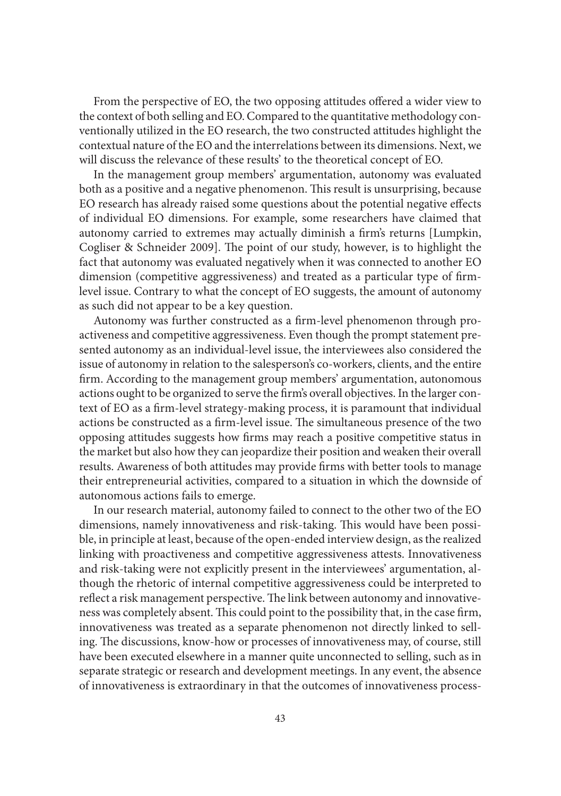From the perspective of EO, the two opposing attitudes offered a wider view to the context of both selling and EO. Compared to the quantitative methodology conventionally utilized in the EO research, the two constructed attitudes highlight the contextual nature of the EO and the interrelations between its dimensions. Next, we will discuss the relevance of these results' to the theoretical concept of EO.

In the management group members' argumentation, autonomy was evaluated both as a positive and a negative phenomenon. This result is unsurprising, because EO research has already raised some questions about the potential negative effects of individual EO dimensions. For example, some researchers have claimed that autonomy carried to extremes may actually diminish a firm's returns [Lumpkin, Cogliser & Schneider 2009]. The point of our study, however, is to highlight the fact that autonomy was evaluated negatively when it was connected to another EO dimension (competitive aggressiveness) and treated as a particular type of firmlevel issue. Contrary to what the concept of EO suggests, the amount of autonomy as such did not appear to be a key question.

Autonomy was further constructed as a firm-level phenomenon through proactiveness and competitive aggressiveness. Even though the prompt statement presented autonomy as an individual-level issue, the interviewees also considered the issue of autonomy in relation to the salesperson's co-workers, clients, and the entire firm. According to the management group members' argumentation, autonomous actions ought to be organized to serve the firm's overall objectives. In the larger context of EO as a firm-level strategy-making process, it is paramount that individual actions be constructed as a firm-level issue. The simultaneous presence of the two opposing attitudes suggests how firms may reach a positive competitive status in the market but also how they can jeopardize their position and weaken their overall results. Awareness of both attitudes may provide firms with better tools to manage their entrepreneurial activities, compared to a situation in which the downside of autonomous actions fails to emerge.

In our research material, autonomy failed to connect to the other two of the EO dimensions, namely innovativeness and risk-taking. This would have been possible, in principle at least, because of the open-ended interview design, as the realized linking with proactiveness and competitive aggressiveness attests. Innovativeness and risk-taking were not explicitly present in the interviewees' argumentation, although the rhetoric of internal competitive aggressiveness could be interpreted to reflect a risk management perspective. The link between autonomy and innovativeness was completely absent. This could point to the possibility that, in the case firm, innovativeness was treated as a separate phenomenon not directly linked to selling. The discussions, know-how or processes of innovativeness may, of course, still have been executed elsewhere in a manner quite unconnected to selling, such as in separate strategic or research and development meetings. In any event, the absence of innovativeness is extraordinary in that the outcomes of innovativeness process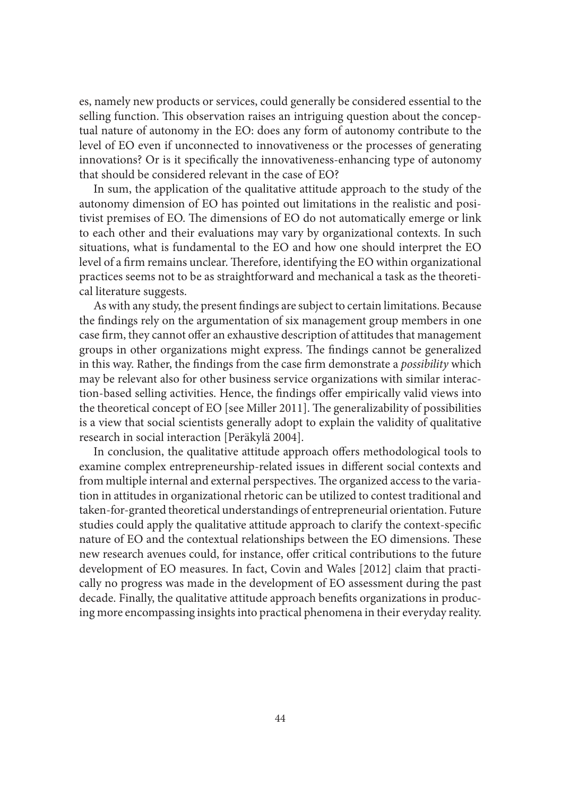es, namely new products or services, could generally be considered essential to the selling function. This observation raises an intriguing question about the conceptual nature of autonomy in the EO: does any form of autonomy contribute to the level of EO even if unconnected to innovativeness or the processes of generating innovations? Or is it specifically the innovativeness-enhancing type of autonomy that should be considered relevant in the case of EO?

In sum, the application of the qualitative attitude approach to the study of the autonomy dimension of EO has pointed out limitations in the realistic and positivist premises of EO. The dimensions of EO do not automatically emerge or link to each other and their evaluations may vary by organizational contexts. In such situations, what is fundamental to the EO and how one should interpret the EO level of a firm remains unclear. Therefore, identifying the EO within organizational practices seems not to be as straightforward and mechanical a task as the theoretical literature suggests.

As with any study, the present findings are subject to certain limitations. Because the findings rely on the argumentation of six management group members in one case firm, they cannot offer an exhaustive description of attitudes that management groups in other organizations might express. The findings cannot be generalized in this way. Rather, the findings from the case firm demonstrate a *possibility* which may be relevant also for other business service organizations with similar interaction-based selling activities. Hence, the findings offer empirically valid views into the theoretical concept of EO [see Miller 2011]. The generalizability of possibilities is a view that social scientists generally adopt to explain the validity of qualitative research in social interaction [Peräkylä 2004].

In conclusion, the qualitative attitude approach offers methodological tools to examine complex entrepreneurship-related issues in different social contexts and from multiple internal and external perspectives. The organized access to the variation in attitudes in organizational rhetoric can be utilized to contest traditional and taken-for-granted theoretical understandings of entrepreneurial orientation. Future studies could apply the qualitative attitude approach to clarify the context-specific nature of EO and the contextual relationships between the EO dimensions. These new research avenues could, for instance, offer critical contributions to the future development of EO measures. In fact, Covin and Wales [2012] claim that practically no progress was made in the development of EO assessment during the past decade. Finally, the qualitative attitude approach benefits organizations in producing more encompassing insights into practical phenomena in their everyday reality.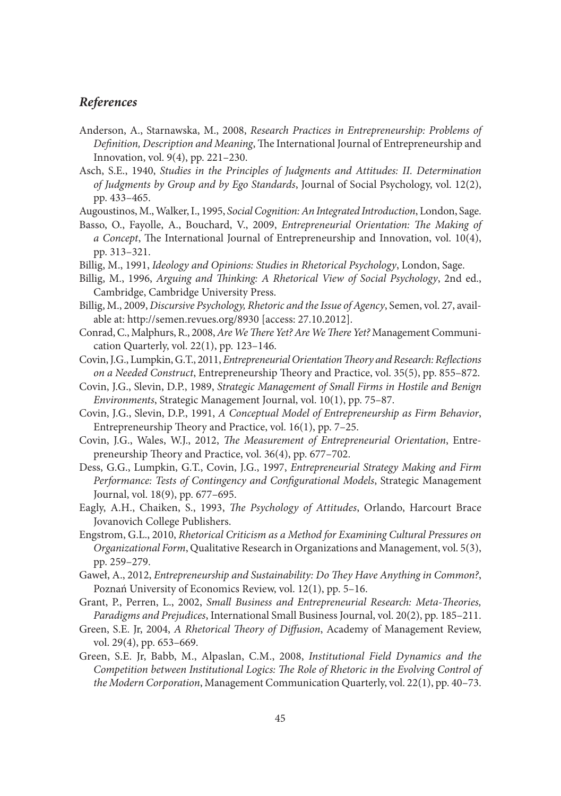### *References*

- Anderson, A., Starnawska, M., 2008, *Research Practices in Entrepreneurship: Problems of*  Definition, Description and Meaning, The International Journal of Entrepreneurship and Innovation, vol. 9(4), pp. 221–230.
- Asch, S.E., 1940, *Studies in the Principles of Judgments and Attitudes: II. Determination of Judgments by Group and by Ego Standards*, Journal of Social Psychology, vol. 12(2), pp. 433–465.
- Augoustinos, M., Walker, I., 1995, *Social Cognition: An Integrated Introduction*, London, Sage.
- Basso, O., Fayolle, A., Bouchard, V., 2009, *Entrepreneurial Orientation: The Making of a Concept*, The International Journal of Entrepreneurship and Innovation, vol. 10(4), pp. 313–321.
- Billig, M., 1991, *Ideology and Opinions: Studies in Rhetorical Psychology*, London, Sage.
- Billig, M., 1996, *Arguing and Thinking: A Rhetorical View of Social Psychology*, 2nd ed., Cambridge, Cambridge University Press.
- Billig, M., 2009, *Discursive Psychology, Rhetoric and the Issue of Agency*, Semen, vol. 27, available at: http://semen.revues.org/8930 [access: 27.10.2012].
- Conrad, C., Malphurs, R., 2008, *Are We There Yet? Are We There Yet?* Management Communication Quarterly, vol. 22(1), pp. 123–146.
- Covin, J.G., Lumpkin, G.T., 2011, *Entrepreneurial Orientation Theory and Research: Reflections on a Needed Construct*, Entrepreneurship Theory and Practice, vol. 35(5), pp. 855–872.
- Covin, J.G., Slevin, D.P., 1989, *Strategic Management of Small Firms in Hostile and Benign Environments*, Strategic Management Journal, vol. 10(1), pp. 75–87.
- Covin, J.G., Slevin, D.P., 1991, *A Conceptual Model of Entrepreneurship as Firm Behavior*, Entrepreneurship Theory and Practice, vol.  $16(1)$ , pp. 7–25.
- Covin, J.G., Wales, W.J., 2012, *The Measurement of Entrepreneurial Orientation*, Entrepreneurship Theory and Practice, vol. 36(4), pp. 677-702.
- Dess, G.G., Lumpkin, G.T., Covin, J.G., 1997, *Entrepreneurial Strategy Making and Firm Performance: Tests of Contingency and Configurational Models*, Strategic Management Journal, vol. 18(9), pp. 677–695.
- Eagly, A.H., Chaiken, S., 1993, *The Psychology of Attitudes*, Orlando, Harcourt Brace Jovanovich College Publishers.
- Engstrom, G.L., 2010, *Rhetorical Criticism as a Method for Examining Cultural Pressures on Organizational Form*, Qualitative Research in Organizations and Management, vol. 5(3), pp. 259–279.
- Gaweł, A., 2012, *Entrepreneurship and Sustainability: Do They Have Anything in Common?*, Poznań University of Economics Review, vol. 12(1), pp. 5–16.
- Grant, P., Perren, L., 2002, *Small Business and Entrepreneurial Research: Meta-Theories*, *Paradigms and Prejudices*, International Small Business Journal, vol. 20(2), pp. 185–211.
- Green, S.E. Jr, 2004, *A Rhetorical Theory of Diffusion*, Academy of Management Review, vol. 29(4), pp. 653–669.
- Green, S.E. Jr, Babb, M., Alpaslan, C.M., 2008, *Institutional Field Dynamics and the Competition between Institutional Logics: The Role of Rhetoric in the Evolving Control of the Modern Corporation*, Management Communication Quarterly, vol. 22(1), pp. 40–73.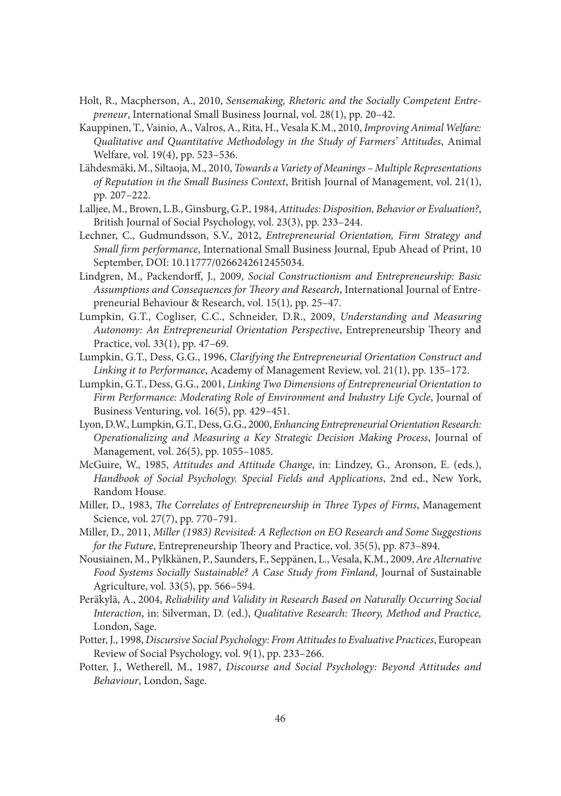- Holt, R., Macpherson, A., 2010, *Sensemaking, Rhetoric and the Socially Competent Entrepreneur*, International Small Business Journal, vol. 28(1), pp. 20–42.
- Kauppinen, T., Vainio, A., Valros, A., Rita, H., Vesala K.M., 2010, *Improving Animal Welfare: Qualitative and Quantitative Methodology in the Study of Farmers' Attitudes*, Animal Welfare, vol. 19(4), pp. 523–536.
- Lähdesmäki, M., Siltaoja, M., 2010, *Towards a Variety of Meanings Multiple Representations of Reputation in the Small Business Context*, British Journal of Management, vol. 21(1), pp. 207–222.
- Lalljee, M., Brown, L.B., Ginsburg, G.P., 1984, *Attitudes: Disposition, Behavior or Evaluation?*, British Journal of Social Psychology, vol. 23(3), pp. 233–244.
- Lechner, C., Gudmundsson, S.V., 2012, *Entrepreneurial Orientation, Firm Strategy and Small firm performance*, International Small Business Journal, Epub Ahead of Print, 10 September, DOI: 10.11777/0266242612455034.
- Lindgren, M., Packendorff, J., 2009, *Social Constructionism and Entrepreneurship: Basic* Assumptions and Consequences for Theory and Research, International Journal of Entrepreneurial Behaviour & Research, vol. 15(1), pp. 25–47.
- Lumpkin, G.T., Cogliser, C.C., Schneider, D.R., 2009, *Understanding and Measuring*  Autonomy: An Entrepreneurial Orientation Perspective, Entrepreneurship Theory and Practice, vol. 33(1), pp. 47–69.
- Lumpkin, G.T., Dess, G.G., 1996, *Clarifying the Entrepreneurial Orientation Construct and Linking it to Performance*, Academy of Management Review, vol. 21(1), pp. 135–172.
- Lumpkin, G.T., Dess, G.G., 2001, *Linking Two Dimensions of Entrepreneurial Orientation to Firm Performance: Moderating Role of Environment and Industry Life Cycle*, Journal of Business Venturing, vol. 16(5), pp. 429–451.
- Lyon, D.W., Lumpkin, G.T., Dess, G.G., 2000, *Enhancing Entrepreneurial Orientation Research: Operationalizing and Measuring a Key Strategic Decision Making Process*, Journal of Management, vol. 26(5), pp. 1055–1085.
- McGuire, W., 1985, *Attitudes and Attitude Change*, in: Lindzey, G., Aronson, E. (eds.), *Handbook of Social Psychology. Special Fields and Applications*, 2nd ed., New York, Random House.
- Miller, D., 1983, *The Correlates of Entrepreneurship in Three Types of Firms*, Management Science, vol. 27(7), pp. 770–791.
- Miller, D., 2011, *Miller (1983) Revisited: A Reflection on EO Research and Some Suggestions for the Future*, Entrepreneurship Theory and Practice, vol. 35(5), pp. 873-894.
- Nousiainen, M., Pylkkänen, P., Saunders, F., Seppänen, L., Vesala, K.M., 2009, *Are Alternative Food Systems Socially Sustainable? A Case Study from Finland*, Journal of Sustainable Agriculture, vol. 33(5), pp. 566–594.
- Peräkylä, A., 2004, *Reliability and Validity in Research Based on Naturally Occurring Social Interaction*, in: Silverman, D. (ed.), *Qualitative Research: Th eory, Method and Practice,* London, Sage.
- Potter, J., 1998, *Discursive Social Psychology: From Attitudes to Evaluative Practices*, European Review of Social Psychology, vol. 9(1), pp. 233–266.
- Potter, J., Wetherell, M., 1987, *Discourse and Social Psychology: Beyond Attitudes and Behaviour*, London, Sage.